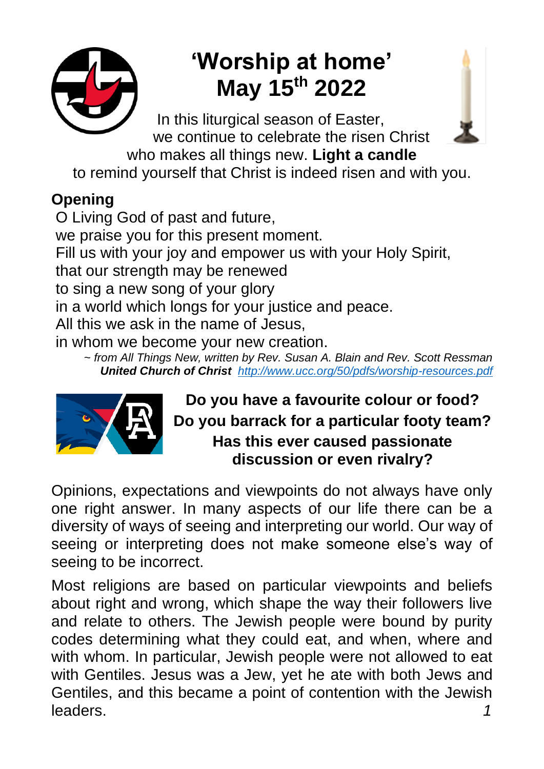

# **'Worship at home' May 15th 2022**

 In this liturgical season of Easter, we continue to celebrate the risen Christ



who makes all things new. **Light a candle** to remind yourself that Christ is indeed risen and with you.

## **Opening**

O Living God of past and future, we praise you for this present moment. Fill us with your joy and empower us with your Holy Spirit, that our strength may be renewed to sing a new song of your glory in a world which longs for your justice and peace. All this we ask in the name of Jesus, in whom we become your new creation.

*~ from All Things New, written by Rev. Susan A. Blain and Rev. Scott Ressman United Church of Christ <http://www.ucc.org/50/pdfs/worship-resources.pdf>*



**Do you have a favourite colour or food? Do you barrack for a particular footy team? Has this ever caused passionate discussion or even rivalry?**

Opinions, expectations and viewpoints do not always have only one right answer. In many aspects of our life there can be a diversity of ways of seeing and interpreting our world. Our way of seeing or interpreting does not make someone else's way of seeing to be incorrect.

Most religions are based on particular viewpoints and beliefs about right and wrong, which shape the way their followers live and relate to others. The Jewish people were bound by purity codes determining what they could eat, and when, where and with whom. In particular, Jewish people were not allowed to eat with Gentiles. Jesus was a Jew, yet he ate with both Jews and Gentiles, and this became a point of contention with the Jewish leaders. *1*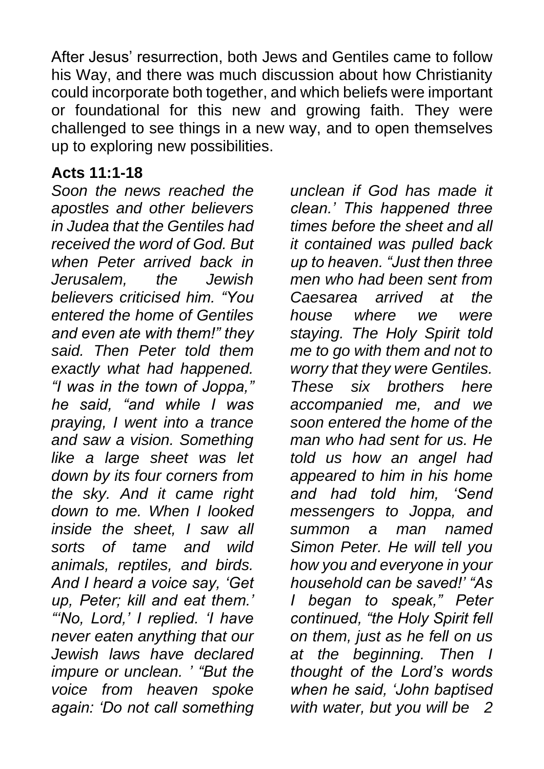After Jesus' resurrection, both Jews and Gentiles came to follow his Way, and there was much discussion about how Christianity could incorporate both together, and which beliefs were important or foundational for this new and growing faith. They were challenged to see things in a new way, and to open themselves up to exploring new possibilities.

#### **Acts 11:1-18**

*Soon the news reached the apostles and other believers in Judea that the Gentiles had received the word of God. But when Peter arrived back in Jerusalem, the Jewish believers criticised him. "You entered the home of Gentiles and even ate with them!" they said. Then Peter told them exactly what had happened. "I was in the town of Joppa," he said, "and while I was praying, I went into a trance and saw a vision. Something like a large sheet was let down by its four corners from the sky. And it came right down to me. When I looked inside the sheet, I saw all sorts of tame and wild animals, reptiles, and birds. And I heard a voice say, 'Get up, Peter; kill and eat them.' "'No, Lord,' I replied. 'I have never eaten anything that our Jewish laws have declared impure or unclean. ' "But the voice from heaven spoke again: 'Do not call something* 

*unclean if God has made it clean.' This happened three times before the sheet and all it contained was pulled back up to heaven. "Just then three men who had been sent from Caesarea arrived at the house where we were staying. The Holy Spirit told me to go with them and not to worry that they were Gentiles. These six brothers here accompanied me, and we soon entered the home of the man who had sent for us. He told us how an angel had appeared to him in his home and had told him, 'Send messengers to Joppa, and summon a man named Simon Peter. He will tell you how you and everyone in your household can be saved!' "As I began to speak," Peter continued, "the Holy Spirit fell on them, just as he fell on us at the beginning. Then I thought of the Lord's words when he said, 'John baptised with water, but you will be 2*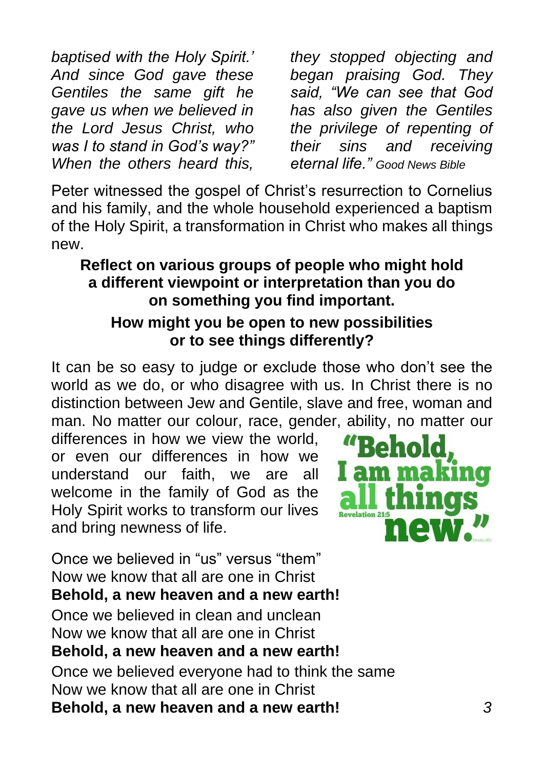*baptised with the Holy Spirit.' And since God gave these Gentiles the same gift he gave us when we believed in the Lord Jesus Christ, who was I to stand in God's way?" When the others heard this,* 

*they stopped objecting and began praising God. They said, "We can see that God has also given the Gentiles the privilege of repenting of their sins and receiving eternal life." Good News Bible*

Peter witnessed the gospel of Christ's resurrection to Cornelius and his family, and the whole household experienced a baptism of the Holy Spirit, a transformation in Christ who makes all things new.

#### **Reflect on various groups of people who might hold a different viewpoint or interpretation than you do on something you find important.**

#### **How might you be open to new possibilities or to see things differently?**

It can be so easy to judge or exclude those who don't see the world as we do, or who disagree with us. In Christ there is no distinction between Jew and Gentile, slave and free, woman and man. No matter our colour, race, gender, ability, no matter our

differences in how we view the world, or even our differences in how we understand our faith, we are all welcome in the family of God as the Holy Spirit works to transform our lives and bring newness of life.



Once we believed in "us" versus "them" Now we know that all are one in Christ **Behold, a new heaven and a new earth!**  Once we believed in clean and unclean Now we know that all are one in Christ **Behold, a new heaven and a new earth!**  Once we believed everyone had to think the same Now we know that all are one in Christ **Behold, a new heaven and a new earth!** *3*